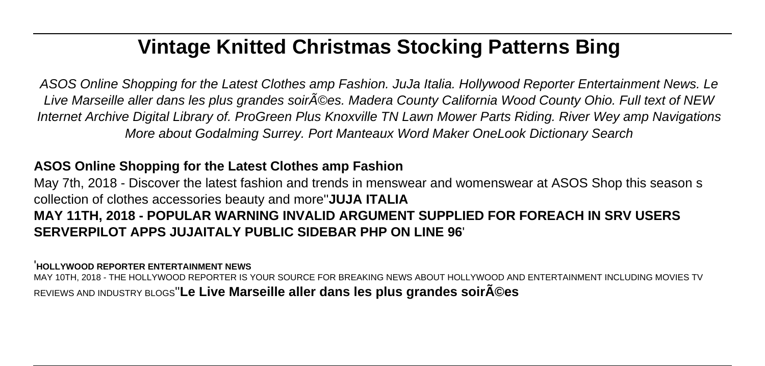# **Vintage Knitted Christmas Stocking Patterns Bing**

ASOS Online Shopping for the Latest Clothes amp Fashion. JuJa Italia. Hollywood Reporter Entertainment News. Le Live Marseille aller dans les plus grandes soir©es. Madera County California Wood County Ohio. Full text of NEW Internet Archive Digital Library of. ProGreen Plus Knoxville TN Lawn Mower Parts Riding. River Wey amp Navigations More about Godalming Surrey. Port Manteaux Word Maker OneLook Dictionary Search

## **ASOS Online Shopping for the Latest Clothes amp Fashion**

May 7th, 2018 - Discover the latest fashion and trends in menswear and womenswear at ASOS Shop this season s collection of clothes accessories beauty and more''**JUJA ITALIA MAY 11TH, 2018 - POPULAR WARNING INVALID ARGUMENT SUPPLIED FOR FOREACH IN SRV USERS SERVERPILOT APPS JUJAITALY PUBLIC SIDEBAR PHP ON LINE 96**'

### '**HOLLYWOOD REPORTER ENTERTAINMENT NEWS**

MAY 10TH, 2018 - THE HOLLYWOOD REPORTER IS YOUR SOURCE FOR BREAKING NEWS ABOUT HOLLYWOOD AND ENTERTAINMENT INCLUDING MOVIES TV REVIEWS AND INDUSTRY BLOGS''**Le Live Marseille aller dans les plus grandes soirées**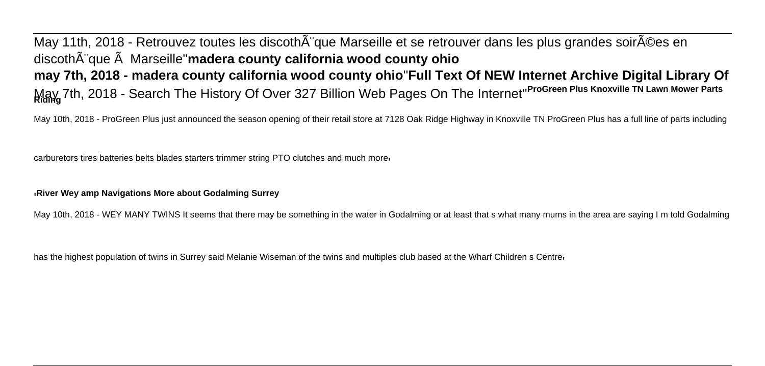May 11th, 2018 - Retrouvez toutes les discoth que Marseille et se retrouver dans les plus grandes soir©es en discoth $\tilde{A}$ "que  $\tilde{A}$  Marseille" madera county california wood county ohio **may 7th, 2018 - madera county california wood county ohio**''**Full Text Of NEW Internet Archive Digital Library Of** May 7th, 2018 - Search The History Of Over 327 Billion Web Pages On The Internet''**ProGreen Plus Knoxville TN Lawn Mower Parts Riding**

May 10th, 2018 - ProGreen Plus just announced the season opening of their retail store at 7128 Oak Ridge Highway in Knoxville TN ProGreen Plus has a full line of parts including

carburetors tires batteries belts blades starters trimmer string PTO clutches and much more'

#### '**River Wey amp Navigations More about Godalming Surrey**

May 10th, 2018 - WEY MANY TWINS It seems that there may be something in the water in Godalming or at least that s what many mums in the area are saying I m told Godalming

has the highest population of twins in Surrey said Melanie Wiseman of the twins and multiples club based at the Wharf Children s Centre